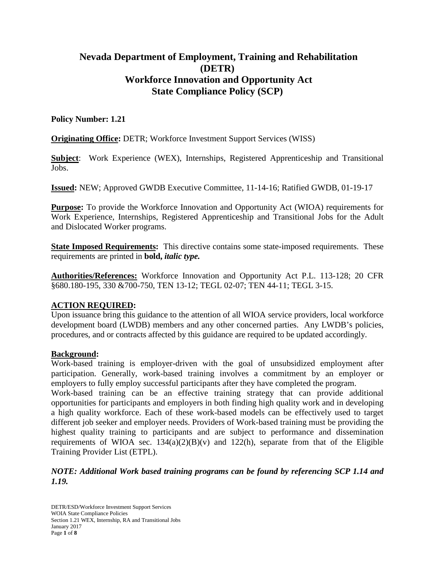# **Nevada Department of Employment, Training and Rehabilitation (DETR) Workforce Innovation and Opportunity Act State Compliance Policy (SCP)**

### **Policy Number: 1.21**

**Originating Office:** DETR; Workforce Investment Support Services (WISS)

**Subject**: Work Experience (WEX), Internships, Registered Apprenticeship and Transitional Jobs.

**Issued:** NEW; Approved GWDB Executive Committee, 11-14-16; Ratified GWDB, 01-19-17

**Purpose:** To provide the Workforce Innovation and Opportunity Act (WIOA) requirements for Work Experience, Internships, Registered Apprenticeship and Transitional Jobs for the Adult and Dislocated Worker programs.

**State Imposed Requirements:** This directive contains some state-imposed requirements. These requirements are printed in **bold,** *italic type.*

**Authorities/References:** Workforce Innovation and Opportunity Act P.L. 113-128; 20 CFR §680.180-195, 330 &700-750, TEN 13-12; TEGL 02-07; TEN 44-11; TEGL 3-15.

### **ACTION REQUIRED:**

Upon issuance bring this guidance to the attention of all WIOA service providers, local workforce development board (LWDB) members and any other concerned parties. Any LWDB's policies, procedures, and or contracts affected by this guidance are required to be updated accordingly.

### **Background:**

Work-based training is employer-driven with the goal of unsubsidized employment after participation. Generally, work-based training involves a commitment by an employer or employers to fully employ successful participants after they have completed the program.

Work-based training can be an effective training strategy that can provide additional opportunities for participants and employers in both finding high quality work and in developing a high quality workforce. Each of these work-based models can be effectively used to target different job seeker and employer needs. Providers of Work-based training must be providing the highest quality training to participants and are subject to performance and dissemination requirements of WIOA sec.  $134(a)(2)(B)(v)$  and  $122(h)$ , separate from that of the Eligible Training Provider List (ETPL).

# *NOTE: Additional Work based training programs can be found by referencing SCP 1.14 and 1.19.*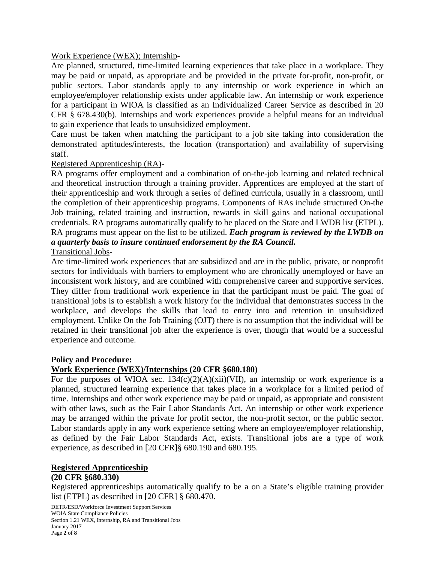#### Work Experience (WEX); Internship-

Are planned, structured, time-limited learning experiences that take place in a workplace. They may be paid or unpaid, as appropriate and be provided in the private for-profit, non-profit, or public sectors. Labor standards apply to any internship or work experience in which an employee/employer relationship exists under applicable law. An internship or work experience for a participant in WIOA is classified as an Individualized Career Service as described in 20 CFR § 678.430(b). Internships and work experiences provide a helpful means for an individual to gain experience that leads to unsubsidized employment.

Care must be taken when matching the participant to a job site taking into consideration the demonstrated aptitudes/interests, the location (transportation) and availability of supervising staff.

#### Registered Apprenticeship (RA)-

RA programs offer employment and a combination of on-the-job learning and related technical and theoretical instruction through a training provider. Apprentices are employed at the start of their apprenticeship and work through a series of defined curricula, usually in a classroom, until the completion of their apprenticeship programs. Components of RAs include structured On-the Job training, related training and instruction, rewards in skill gains and national occupational credentials. RA programs automatically qualify to be placed on the State and LWDB list (ETPL). RA programs must appear on the list to be utilized. *Each program is reviewed by the LWDB on a quarterly basis to insure continued endorsement by the RA Council.* Transitional Jobs-

Are time-limited work experiences that are subsidized and are in the public, private, or nonprofit sectors for individuals with barriers to employment who are chronically unemployed or have an inconsistent work history, and are combined with comprehensive career and supportive services. They differ from traditional work experience in that the participant must be paid. The goal of transitional jobs is to establish a work history for the individual that demonstrates success in the workplace, and develops the skills that lead to entry into and retention in unsubsidized employment. Unlike On the Job Training (OJT) there is no assumption that the individual will be retained in their transitional job after the experience is over, though that would be a successful experience and outcome.

#### **Policy and Procedure:**

#### **Work Experience (WEX)/Internships (20 CFR §680.180)**

For the purposes of WIOA sec.  $134(c)(2)(A)(xii)(VII)$ , an internship or work experience is a planned, structured learning experience that takes place in a workplace for a limited period of time. Internships and other work experience may be paid or unpaid, as appropriate and consistent with other laws, such as the Fair Labor Standards Act. An internship or other work experience may be arranged within the private for profit sector, the non-profit sector, or the public sector. Labor standards apply in any work experience setting where an employee/employer relationship, as defined by the Fair Labor Standards Act, exists. Transitional jobs are a type of work experience, as described in [20 CFR]§ 680.190 and 680.195.

#### **Registered Apprenticeship**

#### **(20 CFR §680.330)**

Registered apprenticeships automatically qualify to be a on a State's eligible training provider list (ETPL) as described in [20 CFR] § 680.470.

DETR/ESD/Workforce Investment Support Services WOIA State Compliance Policies Section 1.21 WEX, Internship, RA and Transitional Jobs January 2017 Page **2** of **8**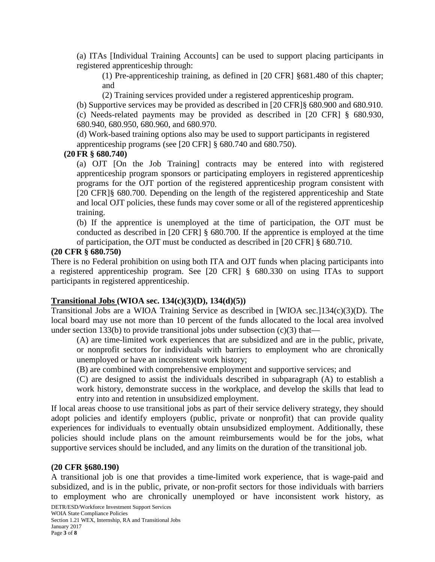(a) ITAs [Individual Training Accounts] can be used to support placing participants in registered apprenticeship through:

(1) Pre-apprenticeship training, as defined in [20 CFR] §681.480 of this chapter; and

(2) Training services provided under a registered apprenticeship program.

(b) Supportive services may be provided as described in [20 CFR]§ 680.900 and 680.910.

(c) Needs-related payments may be provided as described in [20 CFR] § 680.930, 680.940, 680.950, 680.960, and 680.970.

(d) Work-based training options also may be used to support participants in registered apprenticeship programs (see [20 CFR] § 680.740 and 680.750).

#### **(20 FR § 680.740)**

(a) OJT [On the Job Training] contracts may be entered into with registered apprenticeship program sponsors or participating employers in registered apprenticeship programs for the OJT portion of the registered apprenticeship program consistent with [20 CFR]§ 680.700. Depending on the length of the registered apprenticeship and State and local OJT policies, these funds may cover some or all of the registered apprenticeship training.

(b) If the apprentice is unemployed at the time of participation, the OJT must be conducted as described in [20 CFR] § 680.700. If the apprentice is employed at the time of participation, the OJT must be conducted as described in [20 CFR] § 680.710.

#### **(20 CFR § 680.750)**

There is no Federal prohibition on using both ITA and OJT funds when placing participants into a registered apprenticeship program. See [20 CFR] § 680.330 on using ITAs to support participants in registered apprenticeship.

#### **Transitional Jobs (WIOA sec. 134(c)(3)(D), 134(d)(5))**

Transitional Jobs are a WIOA Training Service as described in [WIOA sec.]134(c)(3)(D). The local board may use not more than 10 percent of the funds allocated to the local area involved under section 133(b) to provide transitional jobs under subsection  $(c)(3)$  that—

(A) are time-limited work experiences that are subsidized and are in the public, private, or nonprofit sectors for individuals with barriers to employment who are chronically unemployed or have an inconsistent work history;

(B) are combined with comprehensive employment and supportive services; and

(C) are designed to assist the individuals described in subparagraph (A) to establish a work history, demonstrate success in the workplace, and develop the skills that lead to entry into and retention in unsubsidized employment.

If local areas choose to use transitional jobs as part of their service delivery strategy, they should adopt policies and identify employers (public, private or nonprofit) that can provide quality experiences for individuals to eventually obtain unsubsidized employment. Additionally, these policies should include plans on the amount reimbursements would be for the jobs, what supportive services should be included, and any limits on the duration of the transitional job.

#### **(20 CFR §680.190)**

A transitional job is one that provides a time-limited work experience, that is wage-paid and subsidized, and is in the public, private, or non-profit sectors for those individuals with barriers to employment who are chronically unemployed or have inconsistent work history, as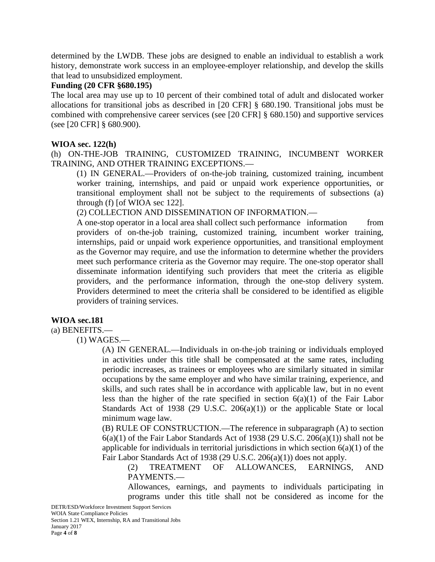determined by the LWDB. These jobs are designed to enable an individual to establish a work history, demonstrate work success in an employee-employer relationship, and develop the skills that lead to unsubsidized employment.

#### **Funding (20 CFR §680.195)**

The local area may use up to 10 percent of their combined total of adult and dislocated worker allocations for transitional jobs as described in [20 CFR] § 680.190. Transitional jobs must be combined with comprehensive career services (see [20 CFR] § 680.150) and supportive services (see [20 CFR] § 680.900).

#### **WIOA sec. 122(h)**

(h) ON-THE-JOB TRAINING, CUSTOMIZED TRAINING, INCUMBENT WORKER TRAINING, AND OTHER TRAINING EXCEPTIONS.—

(1) IN GENERAL.—Providers of on-the-job training, customized training, incumbent worker training, internships, and paid or unpaid work experience opportunities, or transitional employment shall not be subject to the requirements of subsections (a) through (f) [of WIOA sec 122].

(2) COLLECTION AND DISSEMINATION OF INFORMATION.—

A one-stop operator in a local area shall collect such performance information from providers of on-the-job training, customized training, incumbent worker training, internships, paid or unpaid work experience opportunities, and transitional employment as the Governor may require, and use the information to determine whether the providers meet such performance criteria as the Governor may require. The one-stop operator shall disseminate information identifying such providers that meet the criteria as eligible providers, and the performance information, through the one-stop delivery system. Providers determined to meet the criteria shall be considered to be identified as eligible providers of training services.

### **WIOA sec.181**

(a) BENEFITS.—

(1) WAGES.—

(A) IN GENERAL.—Individuals in on-the-job training or individuals employed in activities under this title shall be compensated at the same rates, including periodic increases, as trainees or employees who are similarly situated in similar occupations by the same employer and who have similar training, experience, and skills, and such rates shall be in accordance with applicable law, but in no event less than the higher of the rate specified in section  $6(a)(1)$  of the Fair Labor Standards Act of 1938 (29 U.S.C.  $206(a)(1)$ ) or the applicable State or local minimum wage law.

(B) RULE OF CONSTRUCTION.—The reference in subparagraph (A) to section  $6(a)(1)$  of the Fair Labor Standards Act of 1938 (29 U.S.C. 20 $6(a)(1)$ ) shall not be applicable for individuals in territorial jurisdictions in which section  $6(a)(1)$  of the Fair Labor Standards Act of 1938 (29 U.S.C. 206(a)(1)) does not apply.

(2) TREATMENT OF ALLOWANCES, EARNINGS, AND PAYMENTS.—

Allowances, earnings, and payments to individuals participating in programs under this title shall not be considered as income for the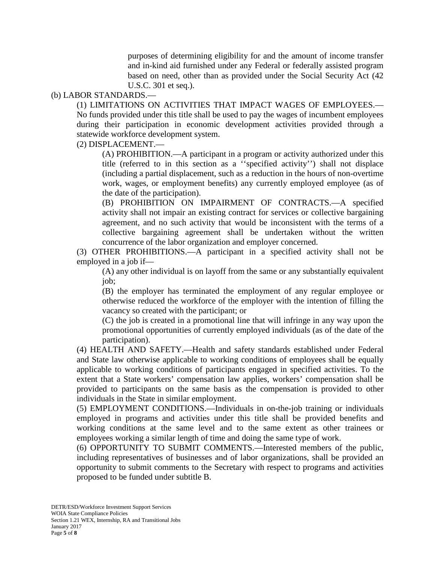purposes of determining eligibility for and the amount of income transfer and in-kind aid furnished under any Federal or federally assisted program based on need, other than as provided under the Social Security Act (42 U.S.C. 301 et seq.).

#### (b) LABOR STANDARDS.—

(1) LIMITATIONS ON ACTIVITIES THAT IMPACT WAGES OF EMPLOYEES.—

No funds provided under this title shall be used to pay the wages of incumbent employees during their participation in economic development activities provided through a statewide workforce development system.

(2) DISPLACEMENT.—

(A) PROHIBITION.—A participant in a program or activity authorized under this title (referred to in this section as a ''specified activity'') shall not displace (including a partial displacement, such as a reduction in the hours of non-overtime work, wages, or employment benefits) any currently employed employee (as of the date of the participation).

(B) PROHIBITION ON IMPAIRMENT OF CONTRACTS.—A specified activity shall not impair an existing contract for services or collective bargaining agreement, and no such activity that would be inconsistent with the terms of a collective bargaining agreement shall be undertaken without the written concurrence of the labor organization and employer concerned.

(3) OTHER PROHIBITIONS.—A participant in a specified activity shall not be employed in a job if—

(A) any other individual is on layoff from the same or any substantially equivalent job;

(B) the employer has terminated the employment of any regular employee or otherwise reduced the workforce of the employer with the intention of filling the vacancy so created with the participant; or

(C) the job is created in a promotional line that will infringe in any way upon the promotional opportunities of currently employed individuals (as of the date of the participation).

(4) HEALTH AND SAFETY.—Health and safety standards established under Federal and State law otherwise applicable to working conditions of employees shall be equally applicable to working conditions of participants engaged in specified activities. To the extent that a State workers' compensation law applies, workers' compensation shall be provided to participants on the same basis as the compensation is provided to other individuals in the State in similar employment.

(5) EMPLOYMENT CONDITIONS.—Individuals in on-the-job training or individuals employed in programs and activities under this title shall be provided benefits and working conditions at the same level and to the same extent as other trainees or employees working a similar length of time and doing the same type of work.

(6) OPPORTUNITY TO SUBMIT COMMENTS.—Interested members of the public, including representatives of businesses and of labor organizations, shall be provided an opportunity to submit comments to the Secretary with respect to programs and activities proposed to be funded under subtitle B.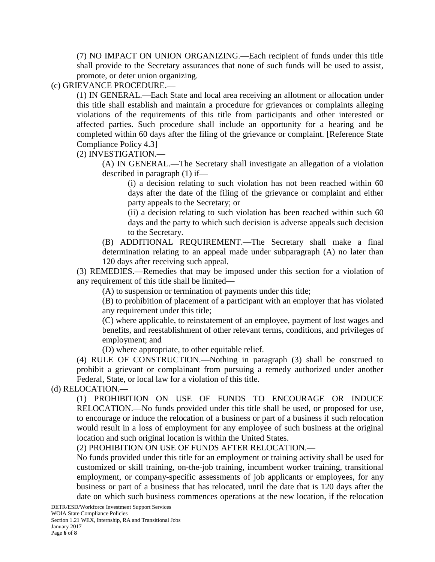(7) NO IMPACT ON UNION ORGANIZING.—Each recipient of funds under this title shall provide to the Secretary assurances that none of such funds will be used to assist, promote, or deter union organizing.

(c) GRIEVANCE PROCEDURE.—

(1) IN GENERAL.—Each State and local area receiving an allotment or allocation under this title shall establish and maintain a procedure for grievances or complaints alleging violations of the requirements of this title from participants and other interested or affected parties. Such procedure shall include an opportunity for a hearing and be completed within 60 days after the filing of the grievance or complaint. [Reference State Compliance Policy 4.3]

(2) INVESTIGATION.—

(A) IN GENERAL.—The Secretary shall investigate an allegation of a violation described in paragraph (1) if—

(i) a decision relating to such violation has not been reached within 60 days after the date of the filing of the grievance or complaint and either party appeals to the Secretary; or

(ii) a decision relating to such violation has been reached within such 60 days and the party to which such decision is adverse appeals such decision to the Secretary.

(B) ADDITIONAL REQUIREMENT.—The Secretary shall make a final determination relating to an appeal made under subparagraph (A) no later than 120 days after receiving such appeal.

(3) REMEDIES.—Remedies that may be imposed under this section for a violation of any requirement of this title shall be limited—

(A) to suspension or termination of payments under this title;

(B) to prohibition of placement of a participant with an employer that has violated any requirement under this title;

(C) where applicable, to reinstatement of an employee, payment of lost wages and benefits, and reestablishment of other relevant terms, conditions, and privileges of employment; and

(D) where appropriate, to other equitable relief.

(4) RULE OF CONSTRUCTION.—Nothing in paragraph (3) shall be construed to prohibit a grievant or complainant from pursuing a remedy authorized under another Federal, State, or local law for a violation of this title.

(d) RELOCATION.—

(1) PROHIBITION ON USE OF FUNDS TO ENCOURAGE OR INDUCE RELOCATION.—No funds provided under this title shall be used, or proposed for use, to encourage or induce the relocation of a business or part of a business if such relocation would result in a loss of employment for any employee of such business at the original location and such original location is within the United States.

(2) PROHIBITION ON USE OF FUNDS AFTER RELOCATION.—

No funds provided under this title for an employment or training activity shall be used for customized or skill training, on-the-job training, incumbent worker training, transitional employment, or company-specific assessments of job applicants or employees, for any business or part of a business that has relocated, until the date that is 120 days after the date on which such business commences operations at the new location, if the relocation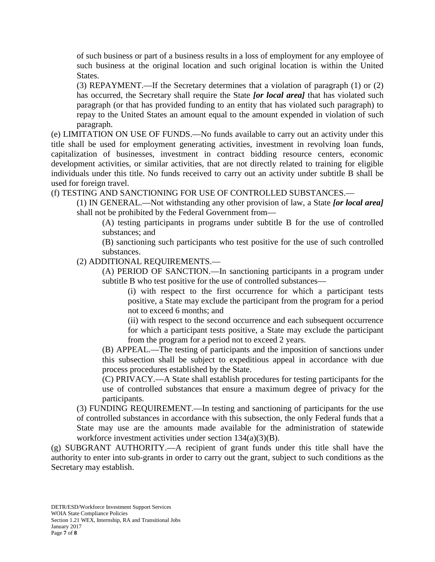of such business or part of a business results in a loss of employment for any employee of such business at the original location and such original location is within the United States.

(3) REPAYMENT.—If the Secretary determines that a violation of paragraph (1) or (2) has occurred, the Secretary shall require the State *[or local area]* that has violated such paragraph (or that has provided funding to an entity that has violated such paragraph) to repay to the United States an amount equal to the amount expended in violation of such paragraph.

(e) LIMITATION ON USE OF FUNDS.—No funds available to carry out an activity under this title shall be used for employment generating activities, investment in revolving loan funds, capitalization of businesses, investment in contract bidding resource centers, economic development activities, or similar activities, that are not directly related to training for eligible individuals under this title. No funds received to carry out an activity under subtitle B shall be used for foreign travel.

(f) TESTING AND SANCTIONING FOR USE OF CONTROLLED SUBSTANCES.—

(1) IN GENERAL.—Not withstanding any other provision of law, a State *[or local area]* shall not be prohibited by the Federal Government from—

(A) testing participants in programs under subtitle B for the use of controlled substances; and

(B) sanctioning such participants who test positive for the use of such controlled substances.

(2) ADDITIONAL REQUIREMENTS.—

(A) PERIOD OF SANCTION.—In sanctioning participants in a program under subtitle B who test positive for the use of controlled substances—

(i) with respect to the first occurrence for which a participant tests positive, a State may exclude the participant from the program for a period not to exceed 6 months; and

(ii) with respect to the second occurrence and each subsequent occurrence for which a participant tests positive, a State may exclude the participant from the program for a period not to exceed 2 years.

(B) APPEAL.—The testing of participants and the imposition of sanctions under this subsection shall be subject to expeditious appeal in accordance with due process procedures established by the State.

(C) PRIVACY.—A State shall establish procedures for testing participants for the use of controlled substances that ensure a maximum degree of privacy for the participants.

(3) FUNDING REQUIREMENT.—In testing and sanctioning of participants for the use of controlled substances in accordance with this subsection, the only Federal funds that a State may use are the amounts made available for the administration of statewide workforce investment activities under section 134(a)(3)(B).

(g) SUBGRANT AUTHORITY.—A recipient of grant funds under this title shall have the authority to enter into sub-grants in order to carry out the grant, subject to such conditions as the Secretary may establish.